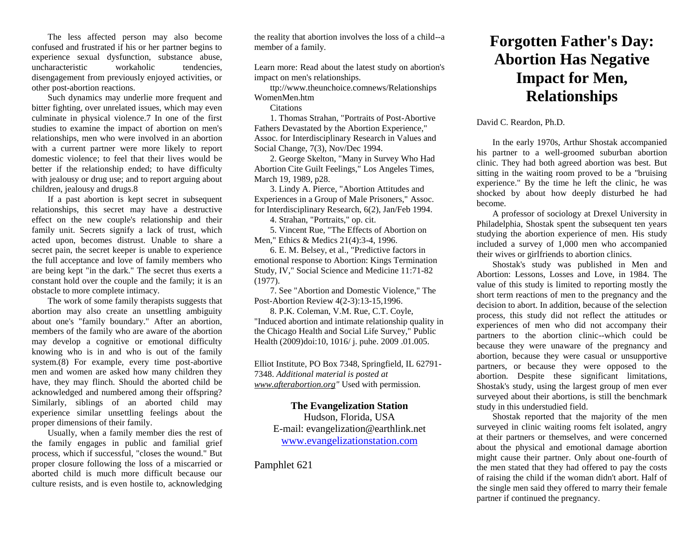The less affected person may also become confused and frustrated if his or her partner begins to experience sexual dysfunction, substance abuse, uncharacteristic workaholic tendencies. disengagement from previously enjoyed activities, or other post-abortion reactions.

Such dynamics may underlie more frequent and bitter fighting, over unrelated issues, which may even culminate in physical violence.7 In one of the first studies to examine the impact of abortion on men's relationships, men who were involved in an abortion with a current partner were more likely to report domestic violence; to feel that their lives would be better if the relationship ended; to have difficulty with jealousy or drug use; and to report arguing about children, jealousy and drugs.8

If a past abortion is kept secret in subsequent relationships, this secret may have a destructive effect on the new couple's relationship and their family unit. Secrets signify a lack of trust, which acted upon, becomes distrust. Unable to share a secret pain, the secret keeper is unable to experience the full acceptance and love of family members who are being kept "in the dark." The secret thus exerts a constant hold over the couple and the family; it is an obstacle to more complete intimacy.

The work of some family therapists suggests that abortion may also create an unsettling ambiguity about one's "family boundary." After an abortion, members of the family who are aware of the abortion may develop a cognitive or emotional difficulty knowing who is in and who is out of the family system.(8) For example, every time post-abortive men and women are asked how many children they have, they may flinch. Should the aborted child be acknowledged and numbered among their offspring? Similarly, siblings of an aborted child may experience similar unsettling feelings about the proper dimensions of their family.

Usually, when a family member dies the rest of the family engages in public and familial grief process, which if successful, "closes the wound." But proper closure following the loss of a miscarried or aborted child is much more difficult because our culture resists, and is even hostile to, acknowledging

the reality that abortion involves the loss of a child--a member of a family.

Learn more: Read about the latest study on abortion's impact on men's relationships.

ttp://www.theunchoice.comnews/Relationships WomenMen.htm

**Citations** 

1. Thomas Strahan, "Portraits of Post-Abortive Fathers Devastated by the Abortion Experience," Assoc. for Interdisciplinary Research in Values and Social Change, 7(3), Nov/Dec 1994.

2. George Skelton, "Many in Survey Who Had Abortion Cite Guilt Feelings," Los Angeles Times, March 19, 1989, p28.

3. Lindy A. Pierce, "Abortion Attitudes and Experiences in a Group of Male Prisoners," Assoc. for Interdisciplinary Research, 6(2), Jan/Feb 1994.

4. Strahan, "Portraits," op. cit.

5. Vincent Rue, "The Effects of Abortion on Men," Ethics & Medics 21(4):3-4, 1996.

6. E. M. Belsey, et al., "Predictive factors in emotional response to Abortion: Kings Termination Study, IV," Social Science and Medicine 11:71-82 (1977).

7. See "Abortion and Domestic Violence," The Post-Abortion Review 4(2-3):13-15,1996.

8. P.K. Coleman, V.M. Rue, C.T. Coyle, "Induced abortion and intimate relationship quality in the Chicago Health and Social Life Survey," Public Health (2009)doi:10, 1016/ j. puhe. 2009 .01.005.

Elliot Institute, PO Box 7348, Springfield, IL 62791- 7348. *Additional material is posted at [www.afterabortion.org"](http://www.afterabortion.org/)* Used with permission.

**The Evangelization Station** Hudson, Florida, USA E-mail: evangelization@earthlink.net [www.evangelizationstation.com](http://www.pjpiisoe.org/)

Pamphlet 621

## **Forgotten Father's Day: Abortion Has Negative Impact for Men, Relationships**

David C. Reardon, Ph.D.

In the early 1970s, Arthur Shostak accompanied his partner to a well-groomed suburban abortion clinic. They had both agreed abortion was best. But sitting in the waiting room proved to be a "bruising experience." By the time he left the clinic, he was shocked by about how deeply disturbed he had become.

A professor of sociology at Drexel University in Philadelphia, Shostak spent the subsequent ten years studying the abortion experience of men. His study included a survey of 1,000 men who accompanied their wives or girlfriends to abortion clinics.

Shostak's study was published in Men and Abortion: Lessons, Losses and Love, in 1984. The value of this study is limited to reporting mostly the short term reactions of men to the pregnancy and the decision to abort. In addition, because of the selection process, this study did not reflect the attitudes or experiences of men who did not accompany their partners to the abortion clinic--which could be because they were unaware of the pregnancy and abortion, because they were casual or unsupportive partners, or because they were opposed to the abortion. Despite these significant limitations, Shostak's study, using the largest group of men ever surveyed about their abortions, is still the benchmark study in this understudied field.

Shostak reported that the majority of the men surveyed in clinic waiting rooms felt isolated, angry at their partners or themselves, and were concerned about the physical and emotional damage abortion might cause their partner. Only about one-fourth of the men stated that they had offered to pay the costs of raising the child if the woman didn't abort. Half of the single men said they offered to marry their female partner if continued the pregnancy.